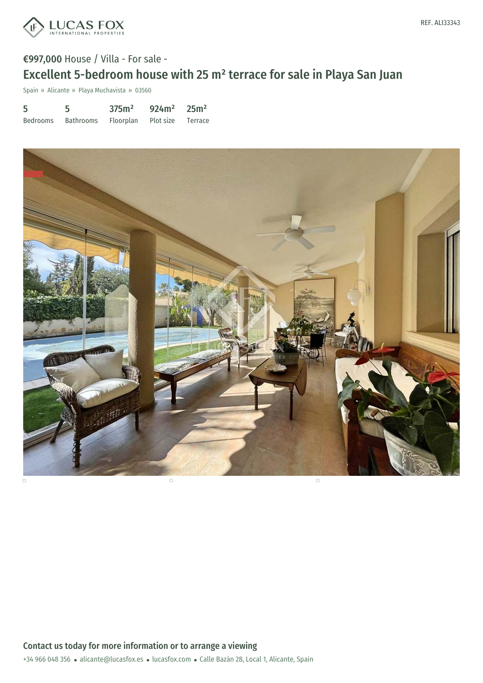

# €997,000 House / Villa - For sale - Excellent 5-bedroom house with 25 m² terrace for sale in Playa San Juan

Spain » Alicante » Playa Muchavista » 03560

| 5 | 5                                              | 375m <sup>2</sup> | $924m^2$ 25m <sup>2</sup> |  |
|---|------------------------------------------------|-------------------|---------------------------|--|
|   | Bedrooms Bathrooms Floorplan Plot size Terrace |                   |                           |  |

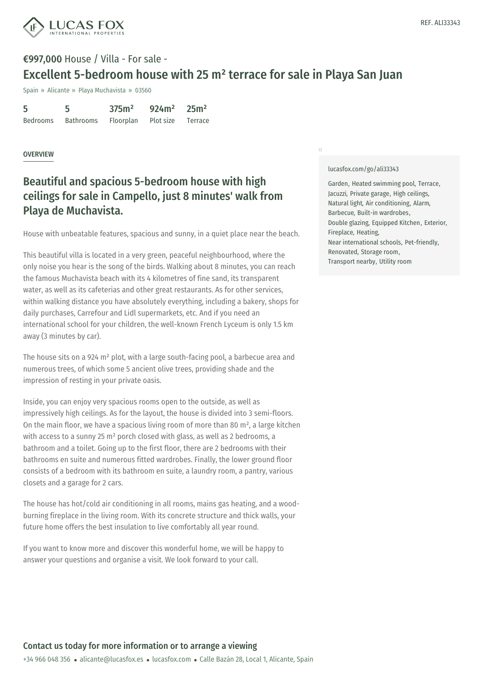

# €997,000 House / Villa - For sale - Excellent 5-bedroom house with 25 m² terrace for sale in Playa San Juan

Spain » Alicante » Playa Muchavista » 03560

| 5        | 5         | 375m <sup>2</sup>           | $924m^2$ 25m <sup>2</sup> |  |
|----------|-----------|-----------------------------|---------------------------|--|
| Bedrooms | Bathrooms | Floorplan Plot size Terrace |                           |  |

### **OVERVIEW**

## Beautiful and spacious 5-bedroom house with high ceilings for sale in Campello, just 8 minutes' walk from Playa de Muchavista.

House with unbeatable features, spacious and sunny, in a quiet place near the beach.

This beautiful villa is located in a very green, peaceful neighbourhood, where the only noise you hear is the song of the birds. Walking about 8 minutes, you can reach the famous Muchavista beach with its 4 kilometres of fine sand, its transparent water, as well as its cafeterias and other great restaurants. As for other services, within walking distance you have absolutely everything, including a bakery, shops for daily purchases, Carrefour and Lidl supermarkets, etc. And if you need an international school for your children, the well-known French Lyceum is only 1.5 km away (3 minutes by car).

The house sits on a 924 m² plot, with a large south-facing pool, a barbecue area and numerous trees, of which some 5 ancient olive trees, providing shade and the impression of resting in your private oasis.

Inside, you can enjoy very spacious rooms open to the outside, as well as impressively high ceilings. As for the layout, the house is divided into 3 semi-floors. On the main floor, we have a spacious living room of more than 80 m², a large kitchen with access to a sunny 25 m<sup>2</sup> porch closed with glass, as well as 2 bedrooms, a bathroom and a toilet. Going up to the first floor, there are 2 bedrooms with their bathrooms en suite and numerous fitted wardrobes. Finally, the lower ground floor consists of a bedroom with its bathroom en suite, a laundry room, a pantry, various closets and a garage for 2 cars.

The house has hot/cold air [conditioni](mailto:alicante@lucasfox.es)ng in all rooms, mains gas heating, and a woodburning fireplace in the living room. With its [concret](https://www.lucasfox.com)e structure and thick walls, your future home offers the best insulation to live comfortably all year round.

If you want to know more and discover this wonderful home, we will be happy to answer your questions and organise a visit. We look forward to your call.

#### [lucasfox.com/go/ali33343](https://www.lucasfox.com/go/ali33343)

 $\Box$ 

Garden, Heated swimming pool, Terrace, Jacuzzi, Private garage, High ceilings, Natural light, Air conditioning, Alarm, Barbecue, Built-in wardrobes, Double glazing, Equipped Kitchen, Exterior, Fireplace, Heating, Near international schools, Pet-friendly, Renovated, Storage room, Transport nearby, Utility room